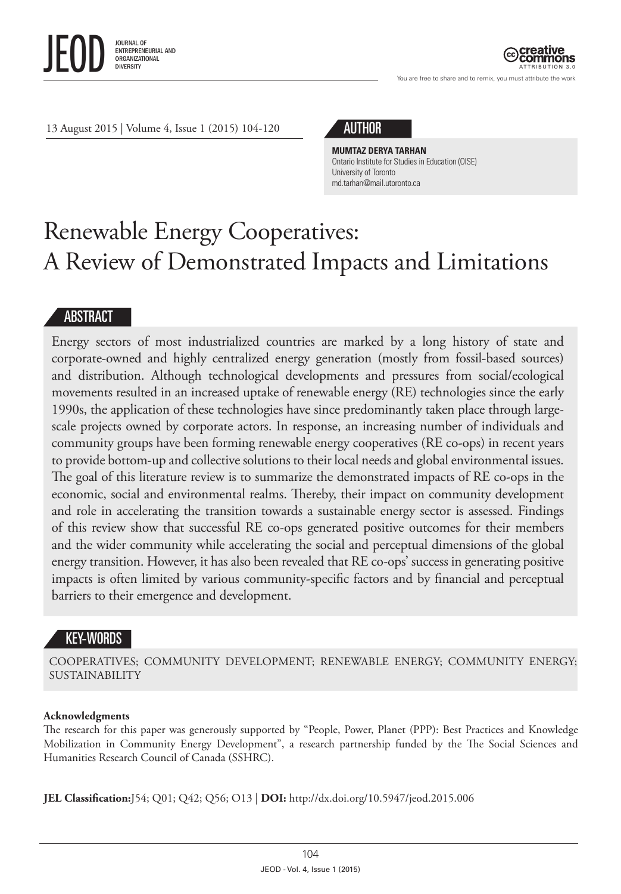

ATTRIBUTION 3.0

You are free to share and to remix, you must attribute the work

13 August 2015 | Volume 4, Issue 1 (2015) 104-120



**MUMTAZ DERYA TARHAN** Ontario Institute for Studies in Education (OISE) University of Toronto [md.tarhan@mail.utoronto.ca](mailto:md.tarhan@mail.utoronto.ca)

# Renewable Energy Cooperatives: A Review of Demonstrated Impacts and Limitations

#### ABSTRACT

Energy sectors of most industrialized countries are marked by a long history of state and corporate-owned and highly centralized energy generation (mostly from fossil-based sources) and distribution. Although technological developments and pressures from social/ecological movements resulted in an increased uptake of renewable energy (RE) technologies since the early 1990s, the application of these technologies have since predominantly taken place through largescale projects owned by corporate actors. In response, an increasing number of individuals and community groups have been forming renewable energy cooperatives (RE co-ops) in recent years to provide bottom-up and collective solutions to their local needs and global environmental issues. The goal of this literature review is to summarize the demonstrated impacts of RE co-ops in the economic, social and environmental realms. Thereby, their impact on community development and role in accelerating the transition towards a sustainable energy sector is assessed. Findings of this review show that successful RE co-ops generated positive outcomes for their members and the wider community while accelerating the social and perceptual dimensions of the global energy transition. However, it has also been revealed that RE co-ops' success in generating positive impacts is often limited by various community-specific factors and by financial and perceptual barriers to their emergence and development.

### KEY-WORDS

COOPERATIVES; COMMUNITY DEVELOPMENT; RENEWABLE ENERGY; COMMUNITY ENERGY; SUSTAINABILITY

#### **Acknowledgments**

The research for this paper was generously supported by "People, Power, Planet (PPP): Best Practices and Knowledge Mobilization in Community Energy Development", a research partnership funded by the The Social Sciences and Humanities Research Council of Canada (SSHRC).

**JEL Classification:**J54; Q01; Q42; Q56; O13 | **DOI:** http://dx.doi.org/10.5947/jeod.2015.006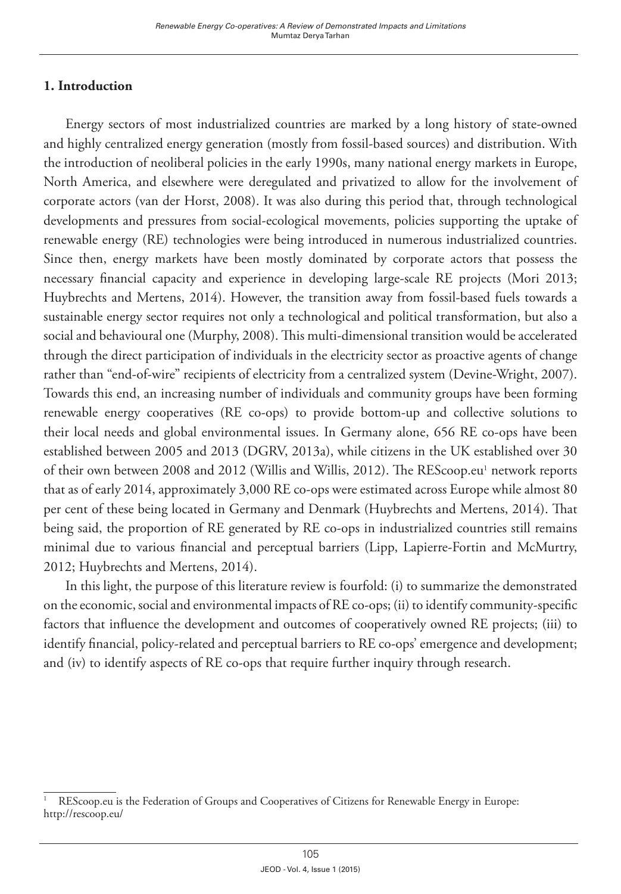### **1. Introduction**

Energy sectors of most industrialized countries are marked by a long history of state-owned and highly centralized energy generation (mostly from fossil-based sources) and distribution. With the introduction of neoliberal policies in the early 1990s, many national energy markets in Europe, North America, and elsewhere were deregulated and privatized to allow for the involvement of corporate actors (van der Horst, 2008). It was also during this period that, through technological developments and pressures from social-ecological movements, policies supporting the uptake of renewable energy (RE) technologies were being introduced in numerous industrialized countries. Since then, energy markets have been mostly dominated by corporate actors that possess the necessary financial capacity and experience in developing large-scale RE projects (Mori 2013; Huybrechts and Mertens, 2014). However, the transition away from fossil-based fuels towards a sustainable energy sector requires not only a technological and political transformation, but also a social and behavioural one (Murphy, 2008). This multi-dimensional transition would be accelerated through the direct participation of individuals in the electricity sector as proactive agents of change rather than "end-of-wire" recipients of electricity from a centralized system (Devine-Wright, 2007). Towards this end, an increasing number of individuals and community groups have been forming renewable energy cooperatives (RE co-ops) to provide bottom-up and collective solutions to their local needs and global environmental issues. In Germany alone, 656 RE co-ops have been established between 2005 and 2013 (DGRV, 2013a), while citizens in the UK established over 30 of their own between 2008 and 2012 (Willis and Willis, 2012). The REScoop.eu! network reports that as of early 2014, approximately 3,000 RE co-ops were estimated across Europe while almost 80 per cent of these being located in Germany and Denmark (Huybrechts and Mertens, 2014). That being said, the proportion of RE generated by RE co-ops in industrialized countries still remains minimal due to various financial and perceptual barriers (Lipp, Lapierre-Fortin and McMurtry, 2012; Huybrechts and Mertens, 2014).

In this light, the purpose of this literature review is fourfold: (i) to summarize the demonstrated on the economic, social and environmental impacts of RE co-ops; (ii) to identify community-specific factors that influence the development and outcomes of cooperatively owned RE projects; (iii) to identify financial, policy-related and perceptual barriers to RE co-ops' emergence and development; and (iv) to identify aspects of RE co-ops that require further inquiry through research.

<sup>1</sup> REScoop.eu is the Federation of Groups and Cooperatives of Citizens for Renewable Energy in Europe: <http://rescoop.eu/>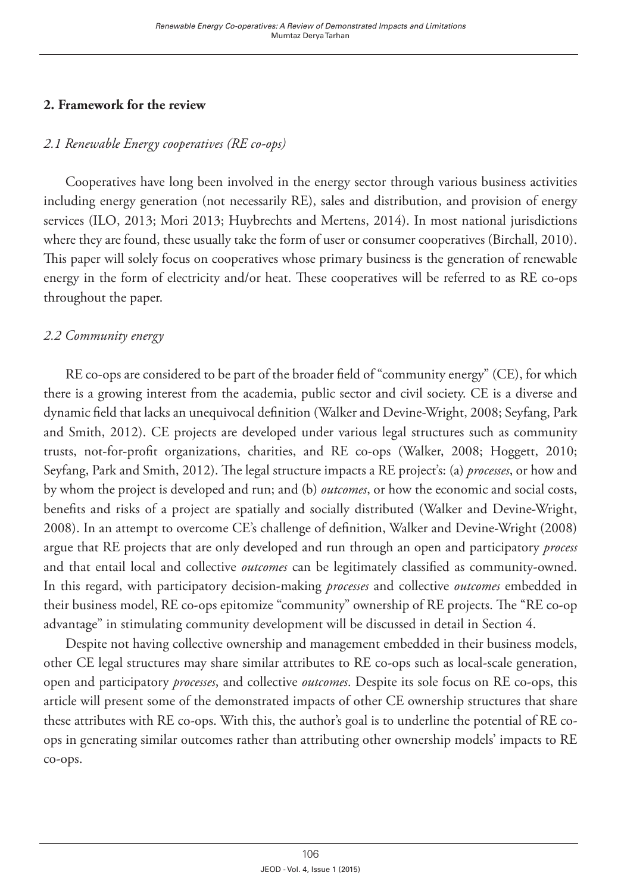#### **2. Framework for the review**

### *2.1 Renewable Energy cooperatives (RE co-ops)*

Cooperatives have long been involved in the energy sector through various business activities including energy generation (not necessarily RE), sales and distribution, and provision of energy services (ILO, 2013; Mori 2013; Huybrechts and Mertens, 2014). In most national jurisdictions where they are found, these usually take the form of user or consumer cooperatives (Birchall, 2010). This paper will solely focus on cooperatives whose primary business is the generation of renewable energy in the form of electricity and/or heat. These cooperatives will be referred to as RE co-ops throughout the paper.

### *2.2 Community energy*

RE co-ops are considered to be part of the broader field of "community energy" (CE), for which there is a growing interest from the academia, public sector and civil society. CE is a diverse and dynamic field that lacks an unequivocal definition (Walker and Devine-Wright, 2008; Seyfang, Park and Smith, 2012). CE projects are developed under various legal structures such as community trusts, not-for-profit organizations, charities, and RE co-ops (Walker, 2008; Hoggett, 2010; Seyfang, Park and Smith, 2012). The legal structure impacts a RE project's: (a) *processes*, or how and by whom the project is developed and run; and (b) *outcomes*, or how the economic and social costs, benefits and risks of a project are spatially and socially distributed (Walker and Devine-Wright, 2008). In an attempt to overcome CE's challenge of definition, Walker and Devine-Wright (2008) argue that RE projects that are only developed and run through an open and participatory *process* and that entail local and collective *outcomes* can be legitimately classified as community-owned. In this regard, with participatory decision-making *processes* and collective *outcomes* embedded in their business model, RE co-ops epitomize "community" ownership of RE projects. The "RE co-op advantage" in stimulating community development will be discussed in detail in Section 4.

Despite not having collective ownership and management embedded in their business models, other CE legal structures may share similar attributes to RE co-ops such as local-scale generation, open and participatory *processes*, and collective *outcomes*. Despite its sole focus on RE co-ops, this article will present some of the demonstrated impacts of other CE ownership structures that share these attributes with RE co-ops. With this, the author's goal is to underline the potential of RE coops in generating similar outcomes rather than attributing other ownership models' impacts to RE co-ops.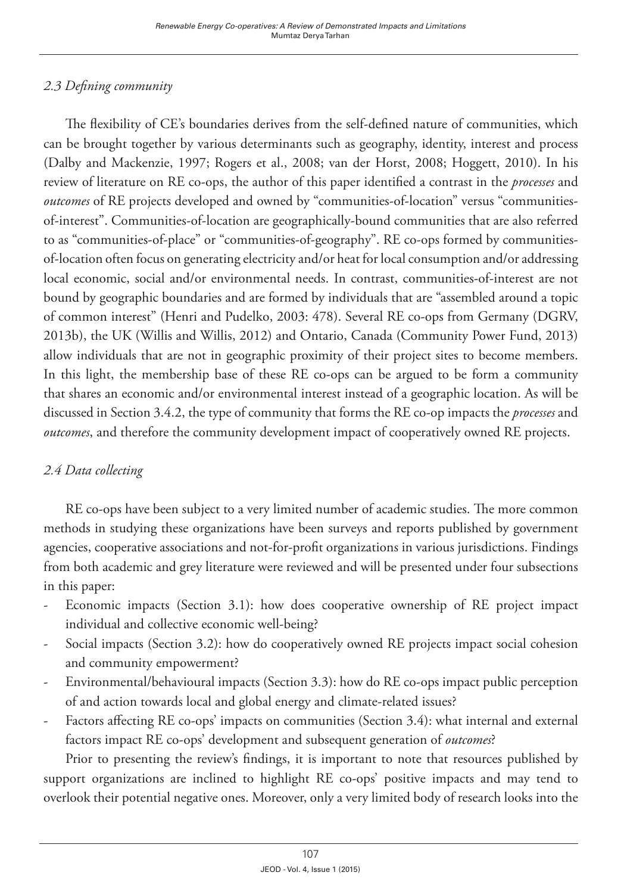## *2.3 Defining community*

The flexibility of CE's boundaries derives from the self-defined nature of communities, which can be brought together by various determinants such as geography, identity, interest and process (Dalby and Mackenzie, 1997; Rogers et al., 2008; van der Horst, 2008; Hoggett, 2010). In his review of literature on RE co-ops, the author of this paper identified a contrast in the *processes* and *outcomes* of RE projects developed and owned by "communities-of-location" versus "communitiesof-interest". Communities-of-location are geographically-bound communities that are also referred to as "communities-of-place" or "communities-of-geography". RE co-ops formed by communitiesof-location often focus on generating electricity and/or heat for local consumption and/or addressing local economic, social and/or environmental needs. In contrast, communities-of-interest are not bound by geographic boundaries and are formed by individuals that are "assembled around a topic of common interest" (Henri and Pudelko, 2003: 478). Several RE co-ops from Germany (DGRV, 2013b), the UK (Willis and Willis, 2012) and Ontario, Canada (Community Power Fund, 2013) allow individuals that are not in geographic proximity of their project sites to become members. In this light, the membership base of these RE co-ops can be argued to be form a community that shares an economic and/or environmental interest instead of a geographic location. As will be discussed in Section 3.4.2, the type of community that forms the RE co-op impacts the *processes* and *outcomes*, and therefore the community development impact of cooperatively owned RE projects.

## *2.4 Data collecting*

RE co-ops have been subject to a very limited number of academic studies. The more common methods in studying these organizations have been surveys and reports published by government agencies, cooperative associations and not-for-profit organizations in various jurisdictions. Findings from both academic and grey literature were reviewed and will be presented under four subsections in this paper:

- Economic impacts (Section 3.1): how does cooperative ownership of RE project impact individual and collective economic well-being?
- Social impacts (Section 3.2): how do cooperatively owned RE projects impact social cohesion and community empowerment?
- Environmental/behavioural impacts (Section 3.3): how do RE co-ops impact public perception of and action towards local and global energy and climate-related issues?
- Factors affecting RE co-ops' impacts on communities (Section 3.4): what internal and external factors impact RE co-ops' development and subsequent generation of *outcomes*?

Prior to presenting the review's findings, it is important to note that resources published by support organizations are inclined to highlight RE co-ops' positive impacts and may tend to overlook their potential negative ones. Moreover, only a very limited body of research looks into the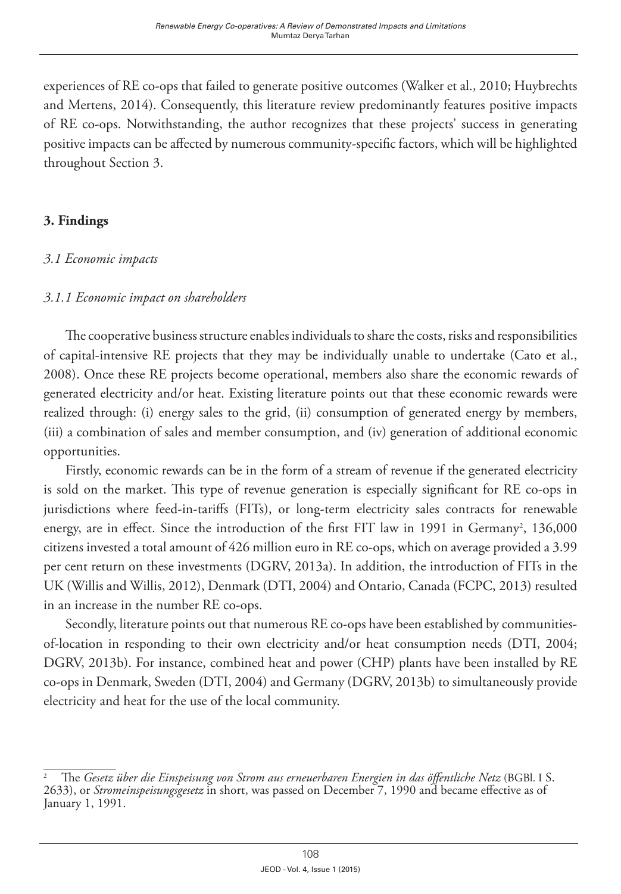experiences of RE co-ops that failed to generate positive outcomes (Walker et al., 2010; Huybrechts and Mertens, 2014). Consequently, this literature review predominantly features positive impacts of RE co-ops. Notwithstanding, the author recognizes that these projects' success in generating positive impacts can be affected by numerous community-specific factors, which will be highlighted throughout Section 3.

#### **3. Findings**

#### *3.1 Economic impacts*

#### *3.1.1 Economic impact on shareholders*

The cooperative business structure enables individuals to share the costs, risks and responsibilities of capital-intensive RE projects that they may be individually unable to undertake (Cato et al., 2008). Once these RE projects become operational, members also share the economic rewards of generated electricity and/or heat. Existing literature points out that these economic rewards were realized through: (i) energy sales to the grid, (ii) consumption of generated energy by members, (iii) a combination of sales and member consumption, and (iv) generation of additional economic opportunities.

Firstly, economic rewards can be in the form of a stream of revenue if the generated electricity is sold on the market. This type of revenue generation is especially significant for RE co-ops in jurisdictions where feed-in-tariffs (FITs), or long-term electricity sales contracts for renewable energy, are in effect. Since the introduction of the first FIT law in 1991 in Germany<sup>2</sup>, 136,000 citizens invested a total amount of 426 million euro in RE co-ops, which on average provided a 3.99 per cent return on these investments (DGRV, 2013a). In addition, the introduction of FITs in the UK (Willis and Willis, 2012), Denmark (DTI, 2004) and Ontario, Canada (FCPC, 2013) resulted in an increase in the number RE co-ops.

Secondly, literature points out that numerous RE co-ops have been established by communitiesof-location in responding to their own electricity and/or heat consumption needs (DTI, 2004; DGRV, 2013b). For instance, combined heat and power (CHP) plants have been installed by RE co-ops in Denmark, Sweden (DTI, 2004) and Germany (DGRV, 2013b) to simultaneously provide electricity and heat for the use of the local community.

<sup>2</sup> The *Gesetz über die Einspeisung von Strom aus erneuerbaren Energien in das öffentliche Netz* [\(BGBl.](http://de.wikipedia.org/wiki/Bundesgesetzblatt_(Deutschland)) I S. 2633), or *Stromeinspeisungsgesetz* in short, was passed on December 7, 1990 and became effective as of January 1, 1991.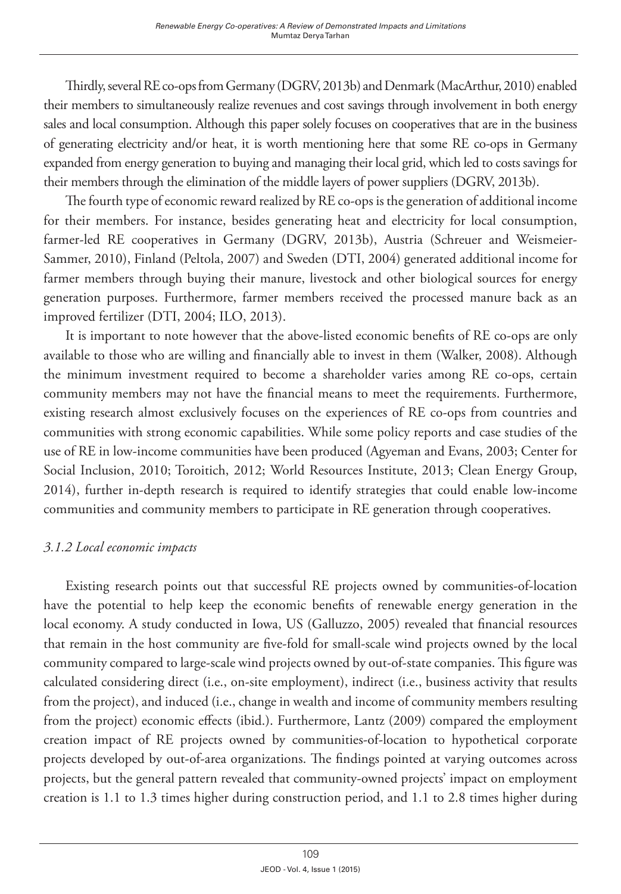Thirdly, several RE co-ops from Germany (DGRV, 2013b) and Denmark (MacArthur, 2010) enabled their members to simultaneously realize revenues and cost savings through involvement in both energy sales and local consumption. Although this paper solely focuses on cooperatives that are in the business of generating electricity and/or heat, it is worth mentioning here that some RE co-ops in Germany expanded from energy generation to buying and managing their local grid, which led to costs savings for their members through the elimination of the middle layers of power suppliers (DGRV, 2013b).

The fourth type of economic reward realized by RE co-ops is the generation of additional income for their members. For instance, besides generating heat and electricity for local consumption, farmer-led RE cooperatives in Germany (DGRV, 2013b), Austria (Schreuer and Weismeier-Sammer, 2010), Finland (Peltola, 2007) and Sweden (DTI, 2004) generated additional income for farmer members through buying their manure, livestock and other biological sources for energy generation purposes. Furthermore, farmer members received the processed manure back as an improved fertilizer (DTI, 2004; ILO, 2013).

It is important to note however that the above-listed economic benefits of RE co-ops are only available to those who are willing and financially able to invest in them (Walker, 2008). Although the minimum investment required to become a shareholder varies among RE co-ops, certain community members may not have the financial means to meet the requirements. Furthermore, existing research almost exclusively focuses on the experiences of RE co-ops from countries and communities with strong economic capabilities. While some policy reports and case studies of the use of RE in low-income communities have been produced (Agyeman and Evans, 2003; Center for Social Inclusion, 2010; Toroitich, 2012; World Resources Institute, 2013; Clean Energy Group, 2014), further in-depth research is required to identify strategies that could enable low-income communities and community members to participate in RE generation through cooperatives.

### *3.1.2 Local economic impacts*

Existing research points out that successful RE projects owned by communities-of-location have the potential to help keep the economic benefits of renewable energy generation in the local economy. A study conducted in Iowa, US (Galluzzo, 2005) revealed that financial resources that remain in the host community are five-fold for small-scale wind projects owned by the local community compared to large-scale wind projects owned by out-of-state companies. This figure was calculated considering direct (i.e., on-site employment), indirect (i.e., business activity that results from the project), and induced (i.e., change in wealth and income of community members resulting from the project) economic effects (ibid.). Furthermore, Lantz (2009) compared the employment creation impact of RE projects owned by communities-of-location to hypothetical corporate projects developed by out-of-area organizations. The findings pointed at varying outcomes across projects, but the general pattern revealed that community-owned projects' impact on employment creation is 1.1 to 1.3 times higher during construction period, and 1.1 to 2.8 times higher during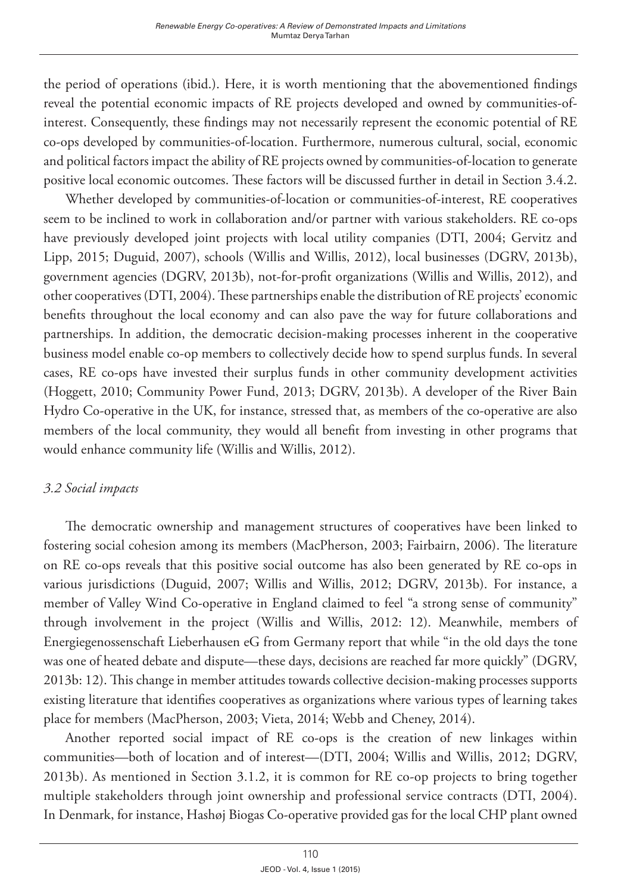the period of operations (ibid.). Here, it is worth mentioning that the abovementioned findings reveal the potential economic impacts of RE projects developed and owned by communities-ofinterest. Consequently, these findings may not necessarily represent the economic potential of RE co-ops developed by communities-of-location. Furthermore, numerous cultural, social, economic and political factors impact the ability of RE projects owned by communities-of-location to generate positive local economic outcomes. These factors will be discussed further in detail in Section 3.4.2.

Whether developed by communities-of-location or communities-of-interest, RE cooperatives seem to be inclined to work in collaboration and/or partner with various stakeholders. RE co-ops have previously developed joint projects with local utility companies (DTI, 2004; Gervitz and Lipp, 2015; Duguid, 2007), schools (Willis and Willis, 2012), local businesses (DGRV, 2013b), government agencies (DGRV, 2013b), not-for-profit organizations (Willis and Willis, 2012), and other cooperatives (DTI, 2004). These partnerships enable the distribution of RE projects' economic benefits throughout the local economy and can also pave the way for future collaborations and partnerships. In addition, the democratic decision-making processes inherent in the cooperative business model enable co-op members to collectively decide how to spend surplus funds. In several cases, RE co-ops have invested their surplus funds in other community development activities (Hoggett, 2010; Community Power Fund, 2013; DGRV, 2013b). A developer of the River Bain Hydro Co-operative in the UK, for instance, stressed that, as members of the co-operative are also members of the local community, they would all benefit from investing in other programs that would enhance community life (Willis and Willis, 2012).

## *3.2 Social impacts*

The democratic ownership and management structures of cooperatives have been linked to fostering social cohesion among its members (MacPherson, 2003; Fairbairn, 2006). The literature on RE co-ops reveals that this positive social outcome has also been generated by RE co-ops in various jurisdictions (Duguid, 2007; Willis and Willis, 2012; DGRV, 2013b). For instance, a member of Valley Wind Co-operative in England claimed to feel "a strong sense of community" through involvement in the project (Willis and Willis, 2012: 12). Meanwhile, members of Energiegenossenschaft Lieberhausen eG from Germany report that while "in the old days the tone was one of heated debate and dispute—these days, decisions are reached far more quickly" (DGRV, 2013b: 12). This change in member attitudes towards collective decision-making processes supports existing literature that identifies cooperatives as organizations where various types of learning takes place for members (MacPherson, 2003; Vieta, 2014; Webb and Cheney, 2014).

Another reported social impact of RE co-ops is the creation of new linkages within communities—both of location and of interest—(DTI, 2004; Willis and Willis, 2012; DGRV, 2013b). As mentioned in Section 3.1.2, it is common for RE co-op projects to bring together multiple stakeholders through joint ownership and professional service contracts (DTI, 2004). In Denmark, for instance, Hashøj Biogas Co-operative provided gas for the local CHP plant owned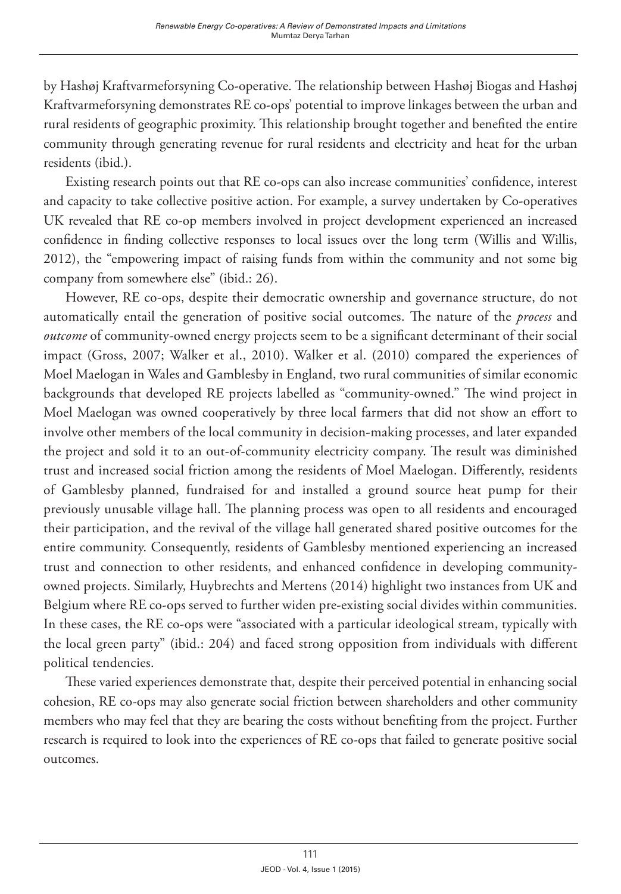by Hashøj Kraftvarmeforsyning Co-operative. The relationship between Hashøj Biogas and Hashøj Kraftvarmeforsyning demonstrates RE co-ops' potential to improve linkages between the urban and rural residents of geographic proximity. This relationship brought together and benefited the entire community through generating revenue for rural residents and electricity and heat for the urban residents (ibid.).

Existing research points out that RE co-ops can also increase communities' confidence, interest and capacity to take collective positive action. For example, a survey undertaken by Co-operatives UK revealed that RE co-op members involved in project development experienced an increased confidence in finding collective responses to local issues over the long term (Willis and Willis, 2012), the "empowering impact of raising funds from within the community and not some big company from somewhere else" (ibid.: 26).

However, RE co-ops, despite their democratic ownership and governance structure, do not automatically entail the generation of positive social outcomes. The nature of the *process* and *outcome* of community-owned energy projects seem to be a significant determinant of their social impact (Gross, 2007; Walker et al., 2010). Walker et al. (2010) compared the experiences of Moel Maelogan in Wales and Gamblesby in England, two rural communities of similar economic backgrounds that developed RE projects labelled as "community-owned." The wind project in Moel Maelogan was owned cooperatively by three local farmers that did not show an effort to involve other members of the local community in decision-making processes, and later expanded the project and sold it to an out-of-community electricity company. The result was diminished trust and increased social friction among the residents of Moel Maelogan. Differently, residents of Gamblesby planned, fundraised for and installed a ground source heat pump for their previously unusable village hall. The planning process was open to all residents and encouraged their participation, and the revival of the village hall generated shared positive outcomes for the entire community. Consequently, residents of Gamblesby mentioned experiencing an increased trust and connection to other residents, and enhanced confidence in developing communityowned projects. Similarly, Huybrechts and Mertens (2014) highlight two instances from UK and Belgium where RE co-ops served to further widen pre-existing social divides within communities. In these cases, the RE co-ops were "associated with a particular ideological stream, typically with the local green party" (ibid.: 204) and faced strong opposition from individuals with different political tendencies.

These varied experiences demonstrate that, despite their perceived potential in enhancing social cohesion, RE co-ops may also generate social friction between shareholders and other community members who may feel that they are bearing the costs without benefiting from the project. Further research is required to look into the experiences of RE co-ops that failed to generate positive social outcomes.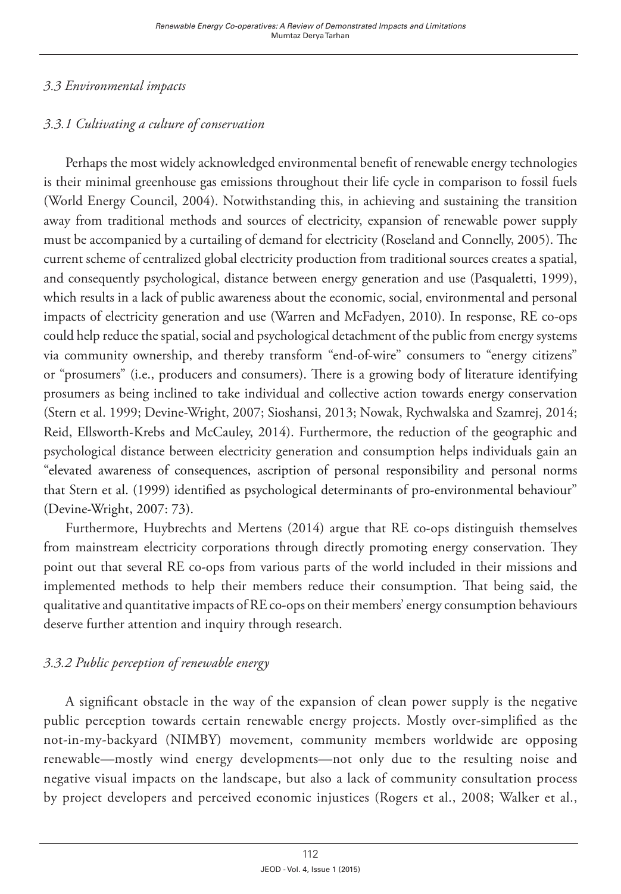## *3.3 Environmental impacts*

## *3.3.1 Cultivating a culture of conservation*

Perhaps the most widely acknowledged environmental benefit of renewable energy technologies is their minimal greenhouse gas emissions throughout their life cycle in comparison to fossil fuels (World Energy Council, 2004). Notwithstanding this, in achieving and sustaining the transition away from traditional methods and sources of electricity, expansion of renewable power supply must be accompanied by a curtailing of demand for electricity (Roseland and Connelly, 2005). The current scheme of centralized global electricity production from traditional sources creates a spatial, and consequently psychological, distance between energy generation and use (Pasqualetti, 1999), which results in a lack of public awareness about the economic, social, environmental and personal impacts of electricity generation and use (Warren and McFadyen, 2010). In response, RE co-ops could help reduce the spatial, social and psychological detachment of the public from energy systems via community ownership, and thereby transform "end-of-wire" consumers to "energy citizens" or "prosumers" (i.e., producers and consumers). There is a growing body of literature identifying prosumers as being inclined to take individual and collective action towards energy conservation (Stern et al. 1999; Devine-Wright, 2007; Sioshansi, 2013; Nowak, Rychwalska and Szamrej, 2014; Reid, Ellsworth-Krebs and McCauley, 2014). Furthermore, the reduction of the geographic and psychological distance between electricity generation and consumption helps individuals gain an "elevated awareness of consequences, ascription of personal responsibility and personal norms that Stern et al. (1999) identified as psychological determinants of pro-environmental behaviour" (Devine-Wright, 2007: 73).

Furthermore, Huybrechts and Mertens (2014) argue that RE co-ops distinguish themselves from mainstream electricity corporations through directly promoting energy conservation. They point out that several RE co-ops from various parts of the world included in their missions and implemented methods to help their members reduce their consumption. That being said, the qualitative and quantitative impacts of RE co-ops on their members' energy consumption behaviours deserve further attention and inquiry through research.

## *3.3.2 Public perception of renewable energy*

A significant obstacle in the way of the expansion of clean power supply is the negative public perception towards certain renewable energy projects. Mostly over-simplified as the not-in-my-backyard (NIMBY) movement, community members worldwide are opposing renewable—mostly wind energy developments—not only due to the resulting noise and negative visual impacts on the landscape, but also a lack of community consultation process by project developers and perceived economic injustices (Rogers et al., 2008; Walker et al.,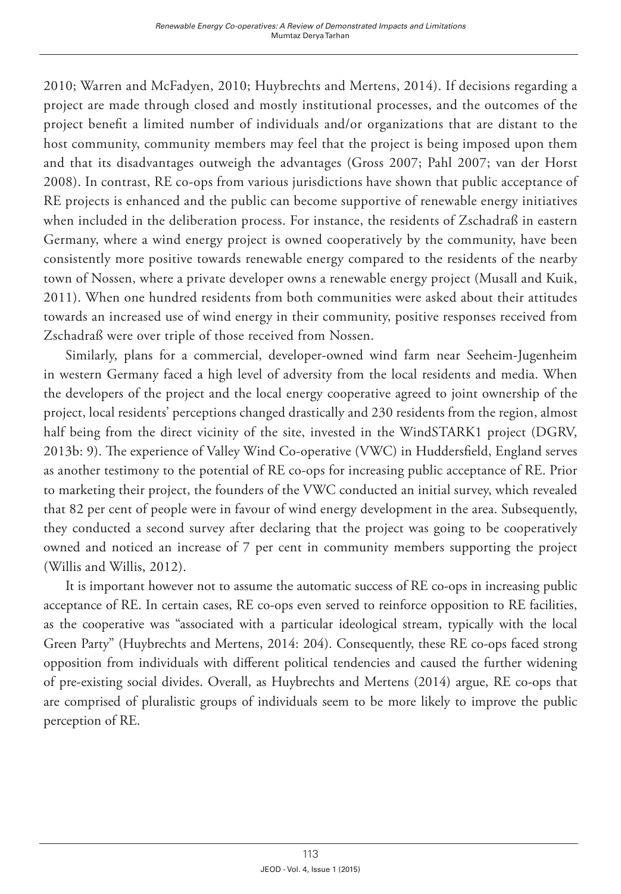2010; Warren and McFadyen, 2010; Huybrechts and Mertens, 2014). If decisions regarding a project are made through closed and mostly institutional processes, and the outcomes of the project benefit a limited number of individuals and/or organizations that are distant to the host community, community members may feel that the project is being imposed upon them and that its disadvantages outweigh the advantages (Gross 2007; Pahl 2007; van der Horst 2008). In contrast, RE co-ops from various jurisdictions have shown that public acceptance of RE projects is enhanced and the public can become supportive of renewable energy initiatives when included in the deliberation process. For instance, the residents of Zschadraß in eastern Germany, where a wind energy project is owned cooperatively by the community, have been consistently more positive towards renewable energy compared to the residents of the nearby town of Nossen, where a private developer owns a renewable energy project (Musall and Kuik, 2011). When one hundred residents from both communities were asked about their attitudes towards an increased use of wind energy in their community, positive responses received from Zschadraß were over triple of those received from Nossen.

Similarly, plans for a commercial, developer-owned wind farm near Seeheim-Jugenheim in western Germany faced a high level of adversity from the local residents and media. When the developers of the project and the local energy cooperative agreed to joint ownership of the project, local residents' perceptions changed drastically and 230 residents from the region, almost half being from the direct vicinity of the site, invested in the WindSTARK1 project (DGRV, 2013b: 9). The experience of Valley Wind Co-operative (VWC) in Huddersfield, England serves as another testimony to the potential of RE co-ops for increasing public acceptance of RE. Prior to marketing their project, the founders of the VWC conducted an initial survey, which revealed that 82 per cent of people were in favour of wind energy development in the area. Subsequently, they conducted a second survey after declaring that the project was going to be cooperatively owned and noticed an increase of 7 per cent in community members supporting the project (Willis and Willis, 2012).

It is important however not to assume the automatic success of RE co-ops in increasing public acceptance of RE. In certain cases, RE co-ops even served to reinforce opposition to RE facilities, as the cooperative was "associated with a particular ideological stream, typically with the local Green Party" (Huybrechts and Mertens, 2014: 204). Consequently, these RE co-ops faced strong opposition from individuals with different political tendencies and caused the further widening of pre-existing social divides. Overall, as Huybrechts and Mertens (2014) argue, RE co-ops that are comprised of pluralistic groups of individuals seem to be more likely to improve the public perception of RE.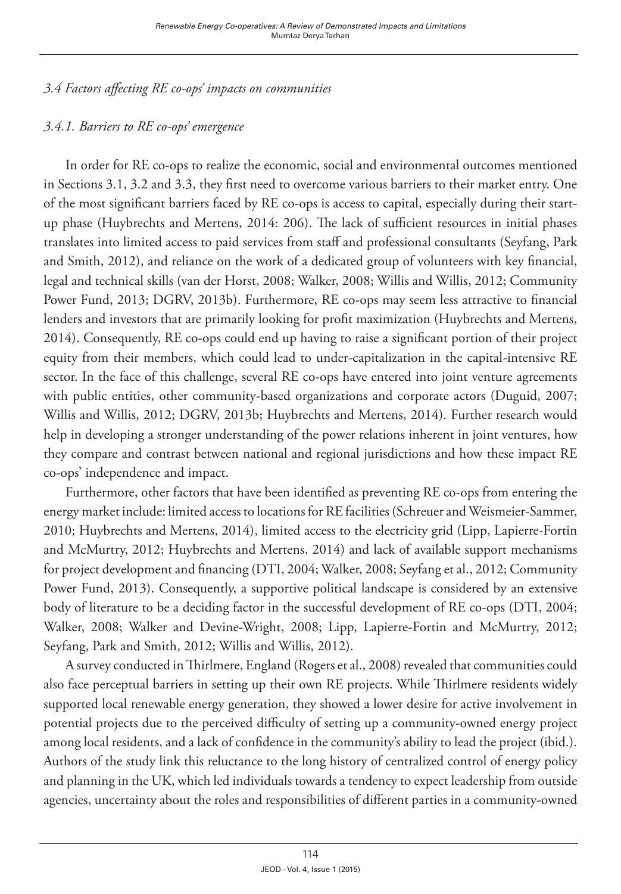*3.4 Factors affecting RE co-ops' impacts on communities*

## *3.4.1. Barriers to RE co-ops' emergence*

In order for RE co-ops to realize the economic, social and environmental outcomes mentioned in Sections 3.1, 3.2 and 3.3, they first need to overcome various barriers to their market entry. One of the most significant barriers faced by RE co-ops is access to capital, especially during their startup phase (Huybrechts and Mertens, 2014: 206). The lack of sufficient resources in initial phases translates into limited access to paid services from staff and professional consultants (Seyfang, Park and Smith, 2012), and reliance on the work of a dedicated group of volunteers with key financial, legal and technical skills (van der Horst, 2008; Walker, 2008; Willis and Willis, 2012; Community Power Fund, 2013; DGRV, 2013b). Furthermore, RE co-ops may seem less attractive to financial lenders and investors that are primarily looking for profit maximization (Huybrechts and Mertens, 2014). Consequently, RE co-ops could end up having to raise a significant portion of their project equity from their members, which could lead to under-capitalization in the capital-intensive RE sector. In the face of this challenge, several RE co-ops have entered into joint venture agreements with public entities, other community-based organizations and corporate actors (Duguid, 2007; Willis and Willis, 2012; DGRV, 2013b; Huybrechts and Mertens, 2014). Further research would help in developing a stronger understanding of the power relations inherent in joint ventures, how they compare and contrast between national and regional jurisdictions and how these impact RE co-ops' independence and impact.

Furthermore, other factors that have been identified as preventing RE co-ops from entering the energy market include: limited access to locations for RE facilities (Schreuer and Weismeier-Sammer, 2010; Huybrechts and Mertens, 2014), limited access to the electricity grid (Lipp, Lapierre-Fortin and McMurtry, 2012; Huybrechts and Mertens, 2014) and lack of available support mechanisms for project development and financing (DTI, 2004; Walker, 2008; Seyfang et al., 2012; Community Power Fund, 2013). Consequently, a supportive political landscape is considered by an extensive body of literature to be a deciding factor in the successful development of RE co-ops (DTI, 2004; Walker, 2008; Walker and Devine-Wright, 2008; Lipp, Lapierre-Fortin and McMurtry, 2012; Seyfang, Park and Smith, 2012; Willis and Willis, 2012).

A survey conducted in Thirlmere, England (Rogers et al., 2008) revealed that communities could also face perceptual barriers in setting up their own RE projects. While Thirlmere residents widely supported local renewable energy generation, they showed a lower desire for active involvement in potential projects due to the perceived difficulty of setting up a community-owned energy project among local residents, and a lack of confidence in the community's ability to lead the project (ibid.). Authors of the study link this reluctance to the long history of centralized control of energy policy and planning in the UK, which led individuals towards a tendency to expect leadership from outside agencies, uncertainty about the roles and responsibilities of different parties in a community-owned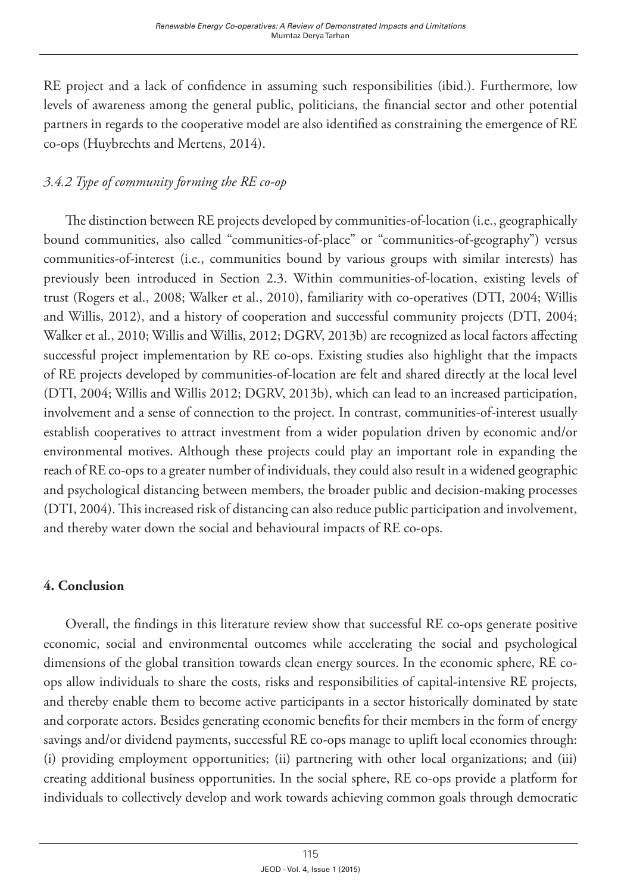RE project and a lack of confidence in assuming such responsibilities (ibid.). Furthermore, low levels of awareness among the general public, politicians, the financial sector and other potential partners in regards to the cooperative model are also identified as constraining the emergence of RE co-ops (Huybrechts and Mertens, 2014).

## *3.4.2 Type of community forming the RE co-op*

The distinction between RE projects developed by communities-of-location (i.e., geographically bound communities, also called "communities-of-place" or "communities-of-geography") versus communities-of-interest (i.e., communities bound by various groups with similar interests) has previously been introduced in Section 2.3. Within communities-of-location, existing levels of trust (Rogers et al., 2008; Walker et al., 2010), familiarity with co-operatives (DTI, 2004; Willis and Willis, 2012), and a history of cooperation and successful community projects (DTI, 2004; Walker et al., 2010; Willis and Willis, 2012; DGRV, 2013b) are recognized as local factors affecting successful project implementation by RE co-ops. Existing studies also highlight that the impacts of RE projects developed by communities-of-location are felt and shared directly at the local level (DTI, 2004; Willis and Willis 2012; DGRV, 2013b), which can lead to an increased participation, involvement and a sense of connection to the project. In contrast, communities-of-interest usually establish cooperatives to attract investment from a wider population driven by economic and/or environmental motives. Although these projects could play an important role in expanding the reach of RE co-ops to a greater number of individuals, they could also result in a widened geographic and psychological distancing between members, the broader public and decision-making processes (DTI, 2004). This increased risk of distancing can also reduce public participation and involvement, and thereby water down the social and behavioural impacts of RE co-ops.

### **4. Conclusion**

Overall, the findings in this literature review show that successful RE co-ops generate positive economic, social and environmental outcomes while accelerating the social and psychological dimensions of the global transition towards clean energy sources. In the economic sphere, RE coops allow individuals to share the costs, risks and responsibilities of capital-intensive RE projects, and thereby enable them to become active participants in a sector historically dominated by state and corporate actors. Besides generating economic benefits for their members in the form of energy savings and/or dividend payments, successful RE co-ops manage to uplift local economies through: (i) providing employment opportunities; (ii) partnering with other local organizations; and (iii) creating additional business opportunities. In the social sphere, RE co-ops provide a platform for individuals to collectively develop and work towards achieving common goals through democratic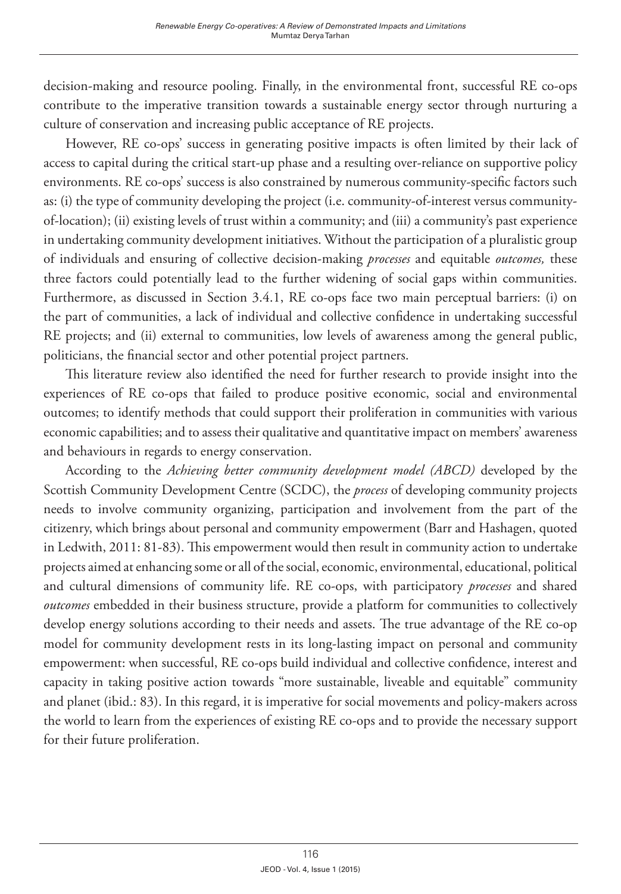decision-making and resource pooling. Finally, in the environmental front, successful RE co-ops contribute to the imperative transition towards a sustainable energy sector through nurturing a culture of conservation and increasing public acceptance of RE projects.

However, RE co-ops' success in generating positive impacts is often limited by their lack of access to capital during the critical start-up phase and a resulting over-reliance on supportive policy environments. RE co-ops' success is also constrained by numerous community-specific factors such as: (i) the type of community developing the project (i.e. community-of-interest versus communityof-location); (ii) existing levels of trust within a community; and (iii) a community's past experience in undertaking community development initiatives. Without the participation of a pluralistic group of individuals and ensuring of collective decision-making *processes* and equitable *outcomes,* these three factors could potentially lead to the further widening of social gaps within communities. Furthermore, as discussed in Section 3.4.1, RE co-ops face two main perceptual barriers: (i) on the part of communities, a lack of individual and collective confidence in undertaking successful RE projects; and (ii) external to communities, low levels of awareness among the general public, politicians, the financial sector and other potential project partners.

This literature review also identified the need for further research to provide insight into the experiences of RE co-ops that failed to produce positive economic, social and environmental outcomes; to identify methods that could support their proliferation in communities with various economic capabilities; and to assess their qualitative and quantitative impact on members' awareness and behaviours in regards to energy conservation.

According to the *Achieving better community development model (ABCD)* developed by the Scottish Community Development Centre (SCDC), the *process* of developing community projects needs to involve community organizing, participation and involvement from the part of the citizenry, which brings about personal and community empowerment (Barr and Hashagen, quoted in Ledwith, 2011: 81-83). This empowerment would then result in community action to undertake projects aimed at enhancing some or all of the social, economic, environmental, educational, political and cultural dimensions of community life. RE co-ops, with participatory *processes* and shared *outcomes* embedded in their business structure, provide a platform for communities to collectively develop energy solutions according to their needs and assets. The true advantage of the RE co-op model for community development rests in its long-lasting impact on personal and community empowerment: when successful, RE co-ops build individual and collective confidence, interest and capacity in taking positive action towards "more sustainable, liveable and equitable" community and planet (ibid.: 83). In this regard, it is imperative for social movements and policy-makers across the world to learn from the experiences of existing RE co-ops and to provide the necessary support for their future proliferation.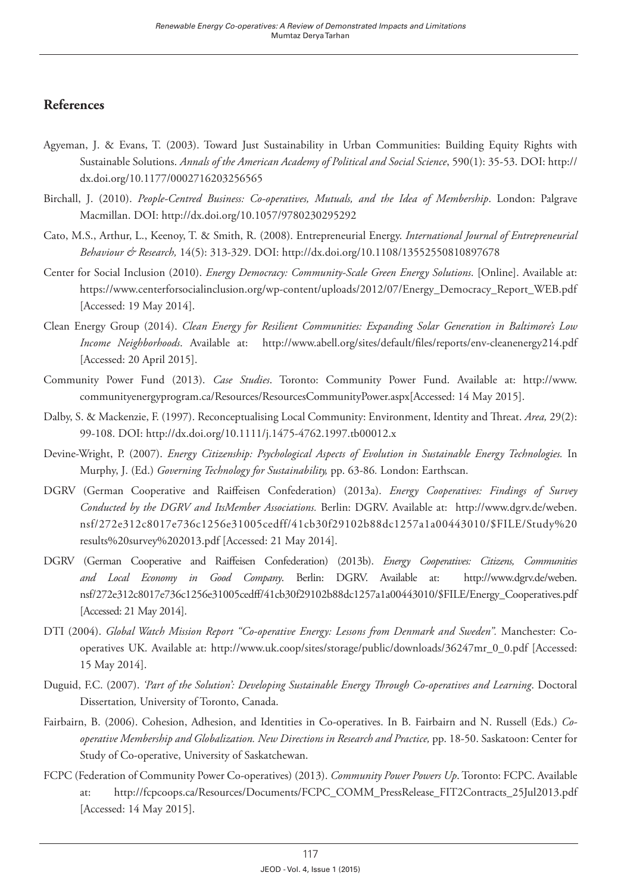#### **References**

- Agyeman, J. & Evans, T. (2003). Toward Just Sustainability in Urban Communities: Building Equity Rights with Sustainable Solutions. *Annals of the American Academy of Political and Social Science*, 590(1): 35-53. DOI: [http://](http://dx.doi.org/10.1177/0002716203256565) [dx.doi.org/10.1177/0002716203256565](http://dx.doi.org/10.1177/0002716203256565)
- Birchall, J. (2010). *People-Centred Business: Co-operatives, Mutuals, and the Idea of Membership*. London: Palgrave Macmillan. DOI:<http://dx.doi.org/10.1057/9780230295292>
- Cato, M.S., Arthur, L., Keenoy, T. & Smith, R. (2008). Entrepreneurial Energy. *International Journal of Entrepreneurial Behaviour & Research,* 14(5): 313-329. DOI:<http://dx.doi.org/10.1108/13552550810897678>
- Center for Social Inclusion (2010). *Energy Democracy: Community-Scale Green Energy Solutions*. [Online]. Available at: [https://www.centerforsocialinclusion.org/wp-content/uploads/2012/07/Energy\\_Democracy\\_Report\\_WEB.pdf](https://www.centerforsocialinclusion.org/wp-content/uploads/2012/07/Energy_Democracy_Report_WEB.pdf) [Accessed: 19 May 2014].
- Clean Energy Group (2014). *Clean Energy for Resilient Communities: Expanding Solar Generation in Baltimore's Low Income Neighborhoods*. Available at: <http://www.abell.org/sites/default/files/reports/env-cleanenergy214.pdf> [Accessed: 20 April 2015].
- Community Power Fund (2013). *Case Studies*. Toronto: Community Power Fund. Available at: [http://www.](http://www.communityenergyprogram.ca/Resources/ResourcesCommunityPower.aspx) [communityenergyprogram.ca/Resources/ResourcesCommunityPower.aspx\[](http://www.communityenergyprogram.ca/Resources/ResourcesCommunityPower.aspx)Accessed: 14 May 2015].
- Dalby, S. & Mackenzie, F. (1997). Reconceptualising Local Community: Environment, Identity and Threat. *Area,* 29(2): 99-108. DOI: <http://dx.doi.org/10.1111/j.1475-4762.1997.tb00012.x>
- Devine-Wright, P. (2007). *Energy Citizenship: Psychological Aspects of Evolution in Sustainable Energy Technologies.* In Murphy, J. (Ed.) *Governing Technology for Sustainability,* pp. 63-86*.* London: Earthscan.
- DGRV (German Cooperative and Raiffeisen Confederation) (2013a). *Energy Cooperatives: Findings of Survey Conducted by the DGRV and ItsMember Associations.* Berlin: DGRV. Available at: [http://www.dgrv.de/weben.](http://www.dgrv.de/weben.nsf/272e312c8017e736c1256e31005cedff/41cb30f29102b88dc1257a1a00443010/$FILE/Study results survey 2013.pdf) [nsf/272e312c8017e736c1256e31005cedff/41cb30f29102b88dc1257a1a00443010/\\$FILE/Study%20](http://www.dgrv.de/weben.nsf/272e312c8017e736c1256e31005cedff/41cb30f29102b88dc1257a1a00443010/$FILE/Study results survey 2013.pdf) [results%20survey%202013.pdf](http://www.dgrv.de/weben.nsf/272e312c8017e736c1256e31005cedff/41cb30f29102b88dc1257a1a00443010/$FILE/Study results survey 2013.pdf) [Accessed: 21 May 2014].
- DGRV (German Cooperative and Raiffeisen Confederation) (2013b). *Energy Cooperatives: Citizens, Communities and Local Economy in Good Company*. Berlin: DGRV. Available at: [http://www.dgrv.de/weben.](http://www.dgrv.de/weben.nsf/272e312c8017e736c1256e31005cedff/41cb30f29102b88dc1257a1a00443010/$FILE/Energy_Cooperatives.pdf) [nsf/272e312c8017e736c1256e31005cedff/41cb30f29102b88dc1257a1a00443010/\\$FILE/Energy\\_Cooperatives.pdf](http://www.dgrv.de/weben.nsf/272e312c8017e736c1256e31005cedff/41cb30f29102b88dc1257a1a00443010/$FILE/Energy_Cooperatives.pdf) [Accessed: 21 May 2014].
- DTI (2004). *Global Watch Mission Report "Co-operative Energy: Lessons from Denmark and Sweden".* Manchester: Cooperatives UK. Available at: [http://www.uk.coop/sites/storage/public/downloads/36247mr\\_0\\_0.pdf](http://www.uk.coop/sites/storage/public/downloads/36247mr_0_0.pdf) [Accessed: 15 May 2014].
- Duguid, F.C. (2007). *'Part of the Solution': Developing Sustainable Energy Through Co-operatives and Learning*. Doctoral Dissertation*,* University of Toronto, Canada.
- Fairbairn, B. (2006). Cohesion, Adhesion, and Identities in Co-operatives. In B. Fairbairn and N. Russell (Eds.) *Cooperative Membership and Globalization. New Directions in Research and Practice,* pp. 18-50. Saskatoon: Center for Study of Co-operative, University of Saskatchewan.
- FCPC (Federation of Community Power Co-operatives) (2013). *Community Power Powers Up*. Toronto: FCPC. Available at: [http://fcpcoops.ca/Resources/Documents/FCPC\\_COMM\\_PressRelease\\_FIT2Contracts\\_25Jul2013.pdf](http://fcpcoops.ca/Resources/Documents/FCPC_COMM_PressRelease_FIT2Contracts_25Jul2013.pdf) [Accessed: 14 May 2015].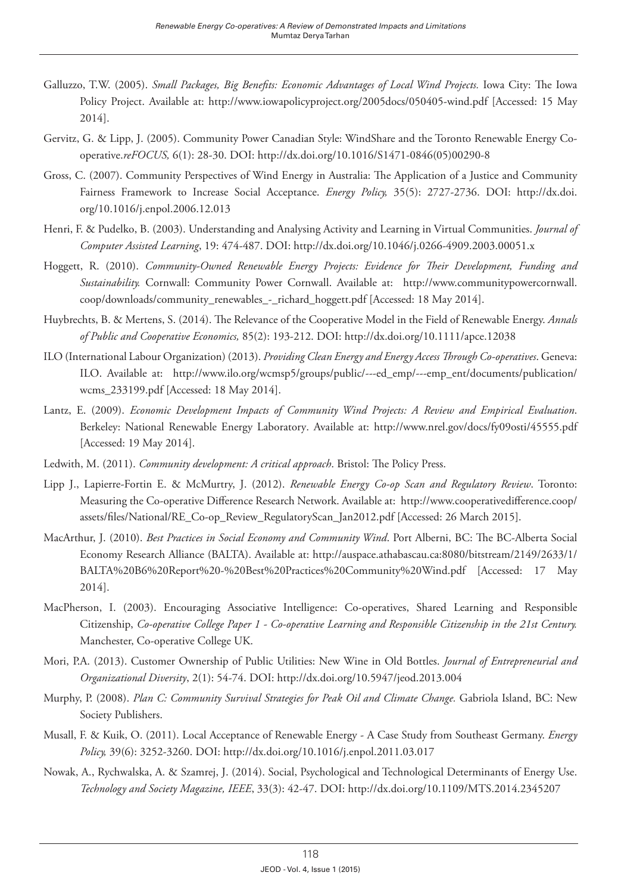- Galluzzo, T.W. (2005). *Small Packages, Big Benefits: Economic Advantages of Local Wind Projects.* Iowa City: The Iowa Policy Project. Available at: <http://www.iowapolicyproject.org/2005docs/050405-wind.pdf>[Accessed: 15 May 2014].
- Gervitz, G. & Lipp, J. (2005). Community Power Canadian Style: WindShare and the Toronto Renewable Energy Cooperative.*reFOCUS,* 6(1): 28-30. DOI: [http://dx.doi.org/10.1016/S1471-0846\(05\)00290-8](http://dx.doi.org/10.1016/S1471-0846(05)00290-8)
- Gross, C. (2007). Community Perspectives of Wind Energy in Australia: The Application of a Justice and Community Fairness Framework to Increase Social Acceptance. *Energy Policy,* 35(5): 2727-2736. DOI: [http://dx.doi.](http://dx.doi.org/10.1016/j.enpol.2006.12.013) [org/10.1016/j.enpol.2006.12.013](http://dx.doi.org/10.1016/j.enpol.2006.12.013)
- Henri, F. & Pudelko, B. (2003). Understanding and Analysing Activity and Learning in Virtual Communities. *Journal of Computer Assisted Learning*, 19: 474-487. DOI:<http://dx.doi.org/10.1046/j.0266-4909.2003.00051.x>
- Hoggett, R. (2010). *Community-Owned Renewable Energy Projects: Evidence for Their Development, Funding and Sustainability.* Cornwall: Community Power Cornwall. Available at: [http://www.communitypowercornwall.](http://www.communitypowercornwall.coop/downloads/community_renewables_-_richard_hoggett.pdf) [coop/downloads/community\\_renewables\\_-\\_richard\\_hoggett.pdf](http://www.communitypowercornwall.coop/downloads/community_renewables_-_richard_hoggett.pdf) [Accessed: 18 May 2014].
- Huybrechts, B. & Mertens, S. (2014). The Relevance of the Cooperative Model in the Field of Renewable Energy. *Annals of Public and Cooperative Economics,* 85(2): 193-212. DOI: <http://dx.doi.org/10.1111/apce.12038>
- ILO (International Labour Organization) (2013). *Providing Clean Energy and Energy Access Through Co-operatives*. Geneva: ILO. Available at: [http://www.ilo.org/wcmsp5/groups/public/---ed\\_emp/---emp\\_ent/documents/publication/](http://www.ilo.org/wcmsp5/groups/public/---ed_emp/---emp_ent/documents/publication/wcms_233199.pdf) [wcms\\_233199.pdf](http://www.ilo.org/wcmsp5/groups/public/---ed_emp/---emp_ent/documents/publication/wcms_233199.pdf) [Accessed: 18 May 2014].
- Lantz, E. (2009). *Economic Development Impacts of Community Wind Projects: A Review and Empirical Evaluation*. Berkeley: National Renewable Energy Laboratory. Available at: <http://www.nrel.gov/docs/fy09osti/45555.pdf> [Accessed: 19 May 2014].
- Ledwith, M. (2011). *Community development: A critical approach*. Bristol: The Policy Press.
- Lipp J., Lapierre-Fortin E. & McMurtry, J. (2012). *Renewable Energy Co-op Scan and Regulatory Review*. Toronto: Measuring the Co-operative Difference Research Network. Available at: [http://www.cooperativedifference.coop/](http://www.cooperativedifference.coop/assets/files/National/RE_Co-op_Review_RegulatoryScan_Jan2012.pdf) [assets/files/National/RE\\_Co-op\\_Review\\_RegulatoryScan\\_Jan2012.pdf](http://www.cooperativedifference.coop/assets/files/National/RE_Co-op_Review_RegulatoryScan_Jan2012.pdf) [Accessed: 26 March 2015].
- MacArthur, J. (2010). *Best Practices in Social Economy and Community Wind*. Port Alberni, BC: The BC-Alberta Social Economy Research Alliance (BALTA). Available at: [http://auspace.athabascau.ca:8080/bitstream/2149/2633/1/](http://auspace.athabascau.ca:8080/bitstream/2149/2633/1/BALTA B6 Report - Best Practices Community Wind.pdf) [BALTA%20B6%20Report%20-%20Best%20Practices%20Community%20Wind.pdf](http://auspace.athabascau.ca:8080/bitstream/2149/2633/1/BALTA B6 Report - Best Practices Community Wind.pdf) [Accessed: 17 May 2014].
- MacPherson, I. (2003). Encouraging Associative Intelligence: Co-operatives, Shared Learning and Responsible Citizenship, *Co-operative College Paper 1 - Co-operative Learning and Responsible Citizenship in the 21st Century.* Manchester, Co-operative College UK.
- Mori, P.A. (2013). Customer Ownership of Public Utilities: New Wine in Old Bottles. *Journal of Entrepreneurial and Organizational Diversity*, 2(1): 54-74. DOI:<http://dx.doi.org/10.5947/jeod.2013.004>
- Murphy, P. (2008). *Plan C: Community Survival Strategies for Peak Oil and Climate Change.* Gabriola Island, BC: New Society Publishers.
- Musall, F. & Kuik, O. (2011). Local Acceptance of Renewable Energy A Case Study from Southeast Germany. *Energy Policy,* 39(6): 3252-3260. DOI:<http://dx.doi.org/10.1016/j.enpol.2011.03.017>
- Nowak, A., Rychwalska, A. & Szamrej, J. (2014). Social, Psychological and Technological Determinants of Energy Use. *Technology and Society Magazine, IEEE*, 33(3): 42-47. DOI: <http://dx.doi.org/10.1109/MTS.2014.2345207>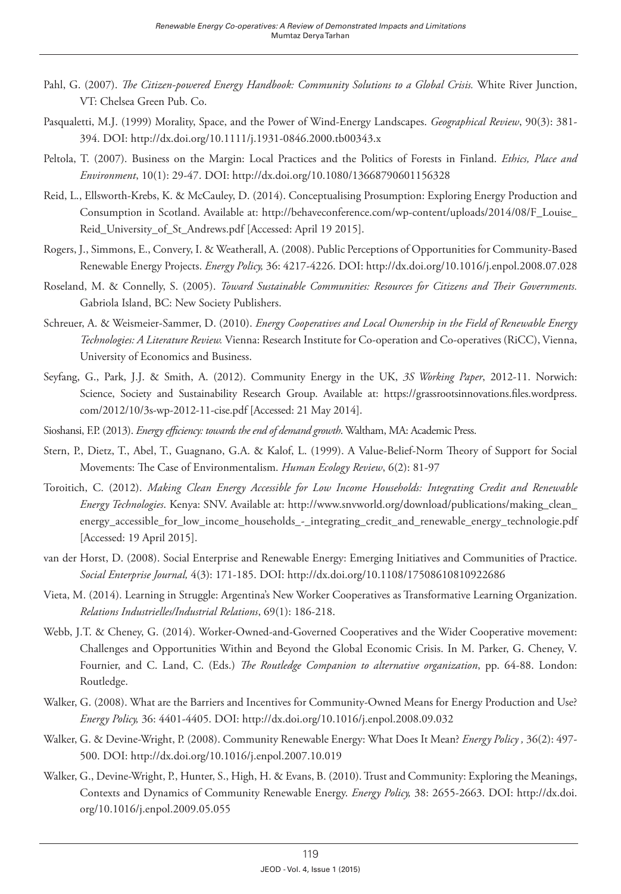- Pahl, G. (2007). *The Citizen-powered Energy Handbook: Community Solutions to a Global Crisis.* White River Junction, VT: Chelsea Green Pub. Co.
- Pasqualetti, M.J. (1999) Morality, Space, and the Power of Wind-Energy Landscapes. *Geographical Review*, 90(3): 381- 394. DOI:<http://dx.doi.org/10.1111/j.1931-0846.2000.tb00343.x>
- Peltola, T. (2007). Business on the Margin: Local Practices and the Politics of Forests in Finland. *Ethics, Place and Environment*, 10(1): 29-47. DOI:<http://dx.doi.org/10.1080/13668790601156328>
- Reid, L., Ellsworth-Krebs, K. & McCauley, D. (2014). Conceptualising Prosumption: Exploring Energy Production and Consumption in Scotland. Available at: [http://behaveconference.com/wp-content/uploads/2014/08/F\\_Louise\\_](http://behaveconference.com/wp-content/uploads/2014/08/F_Louise_Reid_University_of_St_Andrews.pdf) [Reid\\_University\\_of\\_St\\_Andrews.pdf](http://behaveconference.com/wp-content/uploads/2014/08/F_Louise_Reid_University_of_St_Andrews.pdf) [Accessed: April 19 2015].
- Rogers, J., Simmons, E., Convery, I. & Weatherall, A. (2008). Public Perceptions of Opportunities for Community-Based Renewable Energy Projects. *Energy Policy,* 36: 4217-4226. DOI:<http://dx.doi.org/10.1016/j.enpol.2008.07.028>
- Roseland, M. & Connelly, S. (2005). *Toward Sustainable Communities: Resources for Citizens and Their Governments.* Gabriola Island, BC: New Society Publishers.
- Schreuer, A. & Weismeier-Sammer, D. (2010). *Energy Cooperatives and Local Ownership in the Field of Renewable Energy Technologies: A Literature Review.* Vienna: Research Institute for Co-operation and Co-operatives (RiCC), Vienna, University of Economics and Business.
- Seyfang, G., Park, J.J. & Smith, A. (2012). Community Energy in the UK, *3S Working Paper*, 2012-11. Norwich: Science, Society and Sustainability Research Group. Available at: https://grassrootsinnovations.files.wordpress. com/2012/10/3s-wp-2012-11-cise.pdf [Accessed: 21 May 2014].
- Sioshansi, F.P. (2013). *Energy efficiency: towards the end of demand growth*. Waltham, MA: Academic Press.
- Stern, P., Dietz, T., Abel, T., Guagnano, G.A. & Kalof, L. (1999). A Value-Belief-Norm Theory of Support for Social Movements: The Case of Environmentalism. *Human Ecology Review*, 6(2): 81-97
- Toroitich, C. (2012). *Making Clean Energy Accessible for Low Income Households: Integrating Credit and Renewable Energy Technologies*. Kenya: SNV. Available at: [http://www.snvworld.org/download/publications/making\\_clean\\_](http://www.snvworld.org/download/publications/making_clean_energy_accessible_for_low_income_households_-_integrating_credit_and_renewable_energy_technologie.pdf) [energy\\_accessible\\_for\\_low\\_income\\_households\\_-\\_integrating\\_credit\\_and\\_renewable\\_energy\\_technologie.pdf](http://www.snvworld.org/download/publications/making_clean_energy_accessible_for_low_income_households_-_integrating_credit_and_renewable_energy_technologie.pdf) [Accessed: 19 April 2015].
- van der Horst, D. (2008). Social Enterprise and Renewable Energy: Emerging Initiatives and Communities of Practice. *Social Enterprise Journal,* 4(3): 171-185. DOI:<http://dx.doi.org/10.1108/17508610810922686>
- Vieta, M. (2014). Learning in Struggle: Argentina's New Worker Cooperatives as Transformative Learning Organization. *Relations Industrielles/Industrial Relations*, 69(1): 186-218.
- Webb, J.T. & Cheney, G. (2014). Worker-Owned-and-Governed Cooperatives and the Wider Cooperative movement: Challenges and Opportunities Within and Beyond the Global Economic Crisis. In M. Parker, G. Cheney, V. Fournier, and C. Land, C. (Eds.) *The Routledge Companion to alternative organization*, pp. 64-88. London: Routledge.
- Walker, G. (2008). What are the Barriers and Incentives for Community-Owned Means for Energy Production and Use? *Energy Policy,* 36: 4401-4405. DOI:<http://dx.doi.org/10.1016/j.enpol.2008.09.032>
- Walker, G. & Devine-Wright, P. (2008). Community Renewable Energy: What Does It Mean? *Energy Policy ,* 36(2): 497- 500. DOI:<http://dx.doi.org/10.1016/j.enpol.2007.10.019>
- Walker, G., Devine-Wright, P., Hunter, S., High, H. & Evans, B. (2010). Trust and Community: Exploring the Meanings, Contexts and Dynamics of Community Renewable Energy. *Energy Policy,* 38: 2655-2663. DOI: [http://dx.doi.](http://dx.doi.org/10.1016/j.enpol.2009.05.055) [org/10.1016/j.enpol.2009.05.055](http://dx.doi.org/10.1016/j.enpol.2009.05.055)